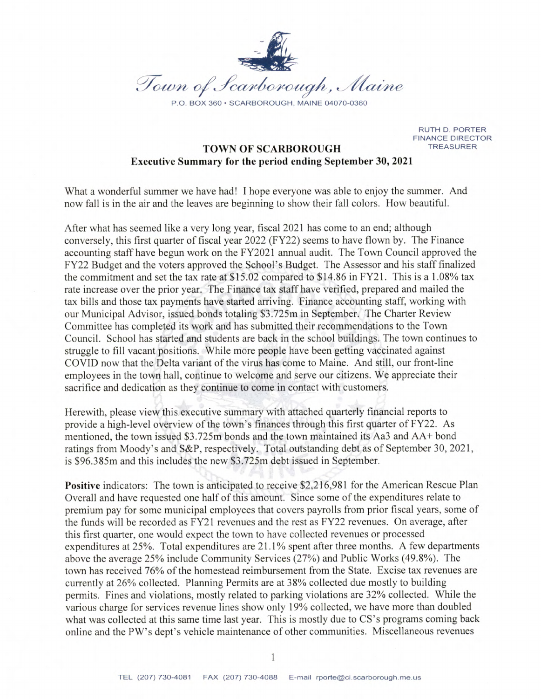

**RUTH D. PORTER FINANCE DIRECTOR TREASURER** 

### **TOWN OF SCARBOROUGH Executive Summary for the period ending September 30, 2021**

What a wonderful summer we have had! I hope everyone was able to enjoy the summer. And now fall is in the air and the leaves are beginning to show their fall colors. How beautiful.

After what has seemed like a very long year, fiscal 2021 has come to an end; although conversely, this first quarter of fiscal year 2022 (FY22) seems to have flown by. The Finance accounting staff have begun work on the FY2021 annual audit. The Town Council approved the FY22 Budget and the voters approved the School's Budget. The Assessor and his staff finalized the commitment and set the tax rate at \$15.02 compared to \$14.86 in FY21. This is a 1.08% tax rate increase over the prior year. The Finance tax staff have verified, prepared and mailed the tax bills and those tax payments have started arriving. Finance accounting staff, working with our Municipal Advisor, issued bonds totaling \$3.725m in September. The Charter Review Committee has completed its work and has submitted their recommendations to the Town Council. School has started and students are back in the school buildings. The town continues to struggle to fill vacant positions. While more people have been getting vaccinated against COVID now that the Delta variant of the virus has come to Maine. And still, our front-line employees in the town hall, continue to welcome and serve our citizens. We appreciate their sacrifice and dedication as they continue to come in contact with customers.

Herewith, please view this executive summary with attached quarterly financial reports to provide a high-level overview of the town's finances through this first quarter of FY22. As mentioned, the town issued \$3.725m bonds and the town maintained its Aa3 and AA+ bond ratings from Moody's and S&P, respectively. Total outstanding debt as of September 30, 2021, is \$96.385m and this includes the new \$3.725m debt issued in September.

Positive indicators: The town is anticipated to receive \$2,216,981 for the American Rescue Plan Overall and have requested one half of this amount. Since some of the expenditures relate to premium pay for some municipal employees that covers payrolls from prior fiscal years, some of the funds will be recorded as FY21 revenues and the rest as FY22 revenues. On average, after this first quarter, one would expect the town to have collected revenues or processed expenditures at  $25\%$ . Total expenditures are  $21.1\%$  spent after three months. A few departments above the average 25% include Community Services (27%) and Public Works (49.8%). The town has received 76% of the homestead reimbursement from the State. Excise tax revenues are currently at 26% collected. Planning Permits are at 38% collected due mostly to building permits. Fines and violations, mostly related to parking violations are 32% collected. While the various charge for services revenue lines show only 19% collected, we have more than doubled what was collected at this same time last year. This is mostly due to CS's programs coming back online and the PW's dept's vehicle maintenance of other communities. Miscellaneous revenues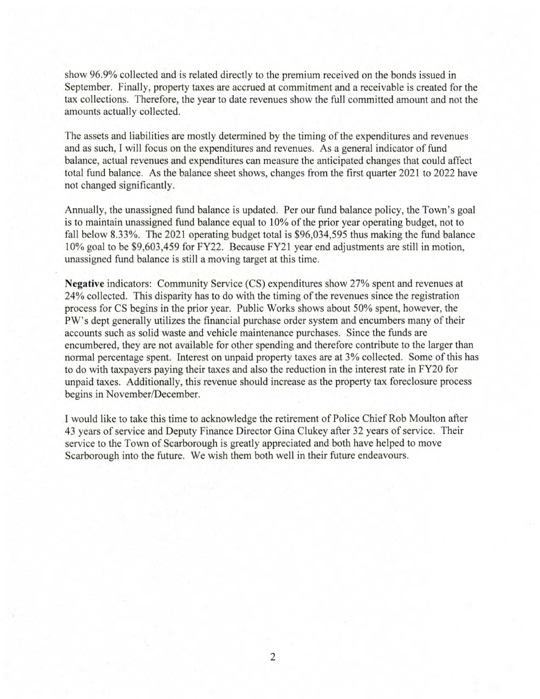show 96.9% collected and is related directly to the premium received on the bonds issued in September. Finally, property taxes are accrued at commitment and a receivable is created for the tax collections. Therefore, the year to date revenues show the full committed amount and not the amounts actually collected.

The assets and liabilities are mostly determined by the timing of the expenditures and revenues and as such, I will focus on the expenditures and revenues. As a general indicator of fund balance, actual revenues and expenditures can measure the anticipated changes that could affect total fund balance. As the balance sheet shows, changes from the first quarter 2021 to 2022 have not changed significantly.

Annually, the unassigned fund balance is updated. Per our fund balance policy, the Town's goal is to maintain unassigned fund balance equal to 10% of the prior year operating budget, not to fall below 8.33%. The 2021 operating budget total is \$96,034,595 thus making the fund balance 10% goal to be \$9,603,459 for FY22. Because FY21 year end adjustments are still in motion, unassigned fund balance is still a moving target at this time.

**Negative** indicators: Community Service (CS) expenditures show 27% spent and revenues at 24% collected. This disparity has to do with the timing of the revenues since the registration process for CS begins in the prior year. Public Works shows about 50% spent, however, the PW's dept generally utilizes the financial purchase order system and encumbers many of their accounts such as solid waste and vehicle maintenance purchases. Since the funds are encumbered, they are not available for other spending and therefore contribute to the larger than normal percentage spent. Interest on unpaid property taxes are at 3% collected. Some of this has to do with taxpayers paying their taxes and also the reduction in the interest rate in FY20 for unpaid taxes. Additionally, this revenue should increase as the property tax foreclosure process begins in November/December.

I would like to take this time to acknowledge the retirement of Police Chief Rob Moulton after 43 years of service and Deputy Finance Director Gina Clukey after 32 years of service. Their service to the Town of Scarborough is greatly appreciated and both have helped to move Scarborough into the future. We wish them both well in their future endeavours.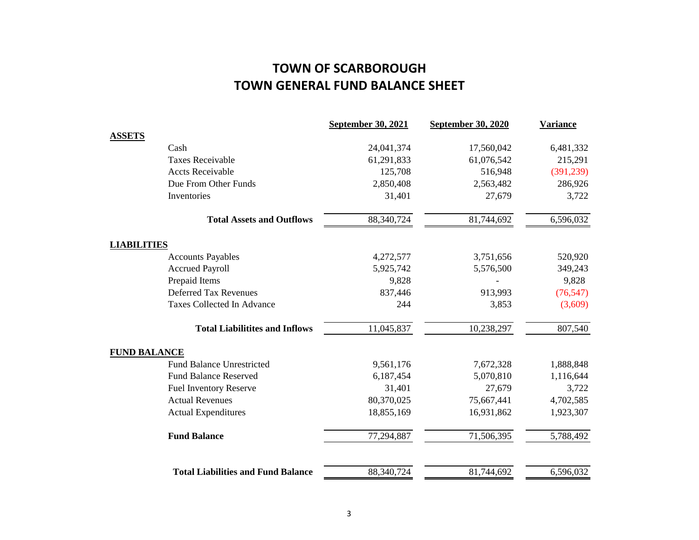# **TOWN GENERAL FUND BALANCE SHEET TOWN OF SCARBOROUGH**

|                     |                                           | <b>September 30, 2021</b> | <b>September 30, 2020</b> | <b>Variance</b> |
|---------------------|-------------------------------------------|---------------------------|---------------------------|-----------------|
| <b>ASSETS</b>       |                                           |                           |                           |                 |
|                     | Cash                                      | 24,041,374                | 17,560,042                | 6,481,332       |
|                     | <b>Taxes Receivable</b>                   | 61,291,833                | 61,076,542                | 215,291         |
|                     | <b>Accts Receivable</b>                   | 125,708                   | 516,948                   | (391, 239)      |
|                     | Due From Other Funds                      | 2,850,408                 | 2,563,482                 | 286,926         |
|                     | Inventories                               | 31,401                    | 27,679                    | 3,722           |
|                     | <b>Total Assets and Outflows</b>          | 88,340,724                | 81,744,692                | 6,596,032       |
| <b>LIABILITIES</b>  |                                           |                           |                           |                 |
|                     | <b>Accounts Payables</b>                  | 4,272,577                 | 3,751,656                 | 520,920         |
|                     | <b>Accrued Payroll</b>                    | 5,925,742                 | 5,576,500                 | 349,243         |
|                     | Prepaid Items                             | 9,828                     |                           | 9,828           |
|                     | <b>Deferred Tax Revenues</b>              | 837,446                   | 913,993                   | (76, 547)       |
|                     | Taxes Collected In Advance                | 244                       | 3,853                     | (3,609)         |
|                     | <b>Total Liabilitites and Inflows</b>     | 11,045,837                | 10,238,297                | 807,540         |
| <b>FUND BALANCE</b> |                                           |                           |                           |                 |
|                     | <b>Fund Balance Unrestricted</b>          | 9,561,176                 | 7,672,328                 | 1,888,848       |
|                     | <b>Fund Balance Reserved</b>              | 6,187,454                 | 5,070,810                 | 1,116,644       |
|                     | <b>Fuel Inventory Reserve</b>             | 31,401                    | 27,679                    | 3,722           |
|                     | <b>Actual Revenues</b>                    | 80,370,025                | 75,667,441                | 4,702,585       |
|                     | <b>Actual Expenditures</b>                | 18,855,169                | 16,931,862                | 1,923,307       |
|                     | <b>Fund Balance</b>                       | 77,294,887                | 71,506,395                | 5,788,492       |
|                     | <b>Total Liabilities and Fund Balance</b> | 88,340,724                | 81,744,692                | 6,596,032       |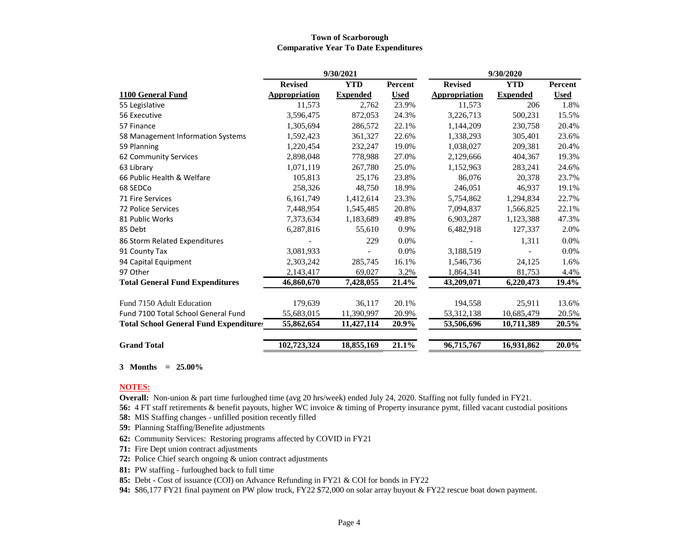#### **Town of Scarborough Comparative Year To Date Expenditures**

|                                               | 9/30/2021      |                 |             | 9/30/2020      |                 |             |
|-----------------------------------------------|----------------|-----------------|-------------|----------------|-----------------|-------------|
|                                               | <b>Revised</b> | <b>YTD</b>      | Percent     | <b>Revised</b> | <b>YTD</b>      | Percent     |
| 1100 General Fund                             | Appropriation  | <b>Expended</b> | <b>Used</b> | Appropriation  | <b>Expended</b> | <b>Used</b> |
| 55 Legislative                                | 11,573         | 2,762           | 23.9%       | 11,573         | 206             | 1.8%        |
| 56 Executive                                  | 3,596,475      | 872,053         | 24.3%       | 3,226,713      | 500,231         | 15.5%       |
| 57 Finance                                    | 1,305,694      | 286,572         | 22.1%       | 1,144,209      | 230,758         | 20.4%       |
| 58 Management Information Systems             | 1,592,423      | 361,327         | 22.6%       | 1,338,293      | 305,401         | 23.6%       |
| 59 Planning                                   | 1,220,454      | 232,247         | 19.0%       | 1.038.027      | 209.381         | 20.4%       |
| 62 Community Services                         | 2,898,048      | 778,988         | 27.0%       | 2,129,666      | 404,367         | 19.3%       |
| 63 Library                                    | 1,071,119      | 267,780         | 25.0%       | 1,152,963      | 283,241         | 24.6%       |
| 66 Public Health & Welfare                    | 105,813        | 25,176          | 23.8%       | 86,076         | 20.378          | 23.7%       |
| 68 SEDCo                                      | 258,326        | 48,750          | 18.9%       | 246,051        | 46,937          | 19.1%       |
| 71 Fire Services                              | 6,161,749      | 1,412,614       | 23.3%       | 5,754,862      | 1,294,834       | 22.7%       |
| 72 Police Services                            | 7,448,954      | 1,545,485       | 20.8%       | 7,094,837      | 1,566,825       | 22.1%       |
| 81 Public Works                               | 7,373,634      | 1,183,689       | 49.8%       | 6,903,287      | 1,123,388       | 47.3%       |
| 85 Debt                                       | 6,287,816      | 55,610          | 0.9%        | 6,482,918      | 127,337         | 2.0%        |
| 86 Storm Related Expenditures                 |                | 229             | 0.0%        |                | 1,311           | $0.0\%$     |
| 91 County Tax                                 | 3,081,933      |                 | 0.0%        | 3,188,519      |                 | 0.0%        |
| 94 Capital Equipment                          | 2,303,242      | 285,745         | 16.1%       | 1,546,736      | 24,125          | 1.6%        |
| 97 Other                                      | 2,143,417      | 69,027          | 3.2%        | 1,864,341      | 81,753          | 4.4%        |
| <b>Total General Fund Expenditures</b>        | 46,860,670     | 7,428,055       | 21.4%       | 43,209,071     | 6,220,473       | 19.4%       |
| Fund 7150 Adult Education                     | 179,639        | 36,117          | 20.1%       | 194,558        | 25,911          | 13.6%       |
| Fund 7100 Total School General Fund           | 55,683,015     | 11,390,997      | 20.9%       | 53, 312, 138   | 10,685,479      | 20.5%       |
| <b>Total School General Fund Expenditures</b> | 55,862,654     | 11,427,114      | 20.9%       | 53,506,696     | 10,711,389      | 20.5%       |
| <b>Grand Total</b>                            | 102,723,324    | 18,855,169      | 21.1%       | 96,715,767     | 16,931,862      | 20.0%       |

**3 Months = 25.00%**

#### **NOTES:**

**Overall:** Non-union & part time furloughed time (avg 20 hrs/week) ended July 24, 2020. Staffing not fully funded in FY21.

**56:** 4 FT staff retirements & benefit payouts, higher WC invoice & timing of Property insurance pymt, filled vacant custodial positions

**58:** MIS Staffing changes - unfilled position recently filled

- **59:** Planning Staffing/Benefite adjustments
- **62:** Community Services: Restoring programs affected by COVID in FY21
- **71:** Fire Dept union contract adjustments
- **72:** Police Chief search ongoing & union contract adjustments
- **81:** PW staffing furloughed back to full time
- **85:** Debt Cost of issuance (COI) on Advance Refunding in FY21 & COI for bonds in FY22
- **94:** \$86,177 FY21 final payment on PW plow truck, FY22 \$72,000 on solar array buyout & FY22 rescue boat down payment.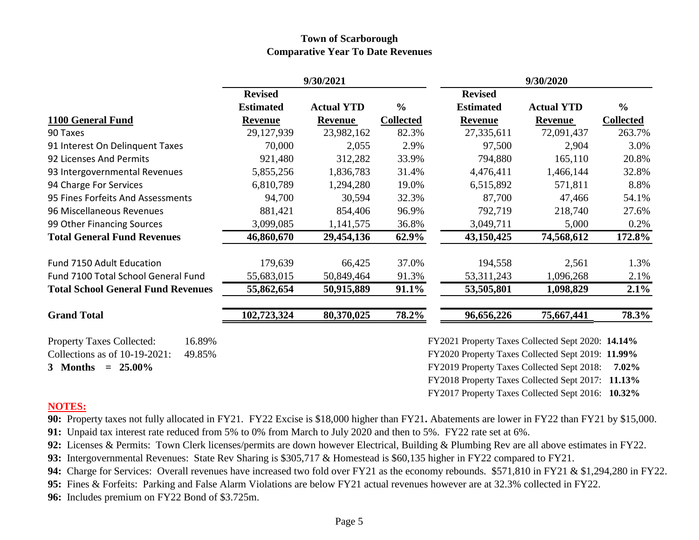### **Town of Scarborough Comparative Year To Date Revenues**

|                                            | 9/30/2021        |                   |                  | 9/30/2020                                         |                   |                  |
|--------------------------------------------|------------------|-------------------|------------------|---------------------------------------------------|-------------------|------------------|
|                                            | <b>Revised</b>   |                   |                  | <b>Revised</b>                                    |                   |                  |
|                                            | <b>Estimated</b> | <b>Actual YTD</b> | $\frac{0}{0}$    | <b>Estimated</b>                                  | <b>Actual YTD</b> | $\frac{6}{6}$    |
| 1100 General Fund                          | <b>Revenue</b>   | <b>Revenue</b>    | <b>Collected</b> | <b>Revenue</b>                                    | Revenue           | <b>Collected</b> |
| 90 Taxes                                   | 29,127,939       | 23,982,162        | 82.3%            | 27,335,611                                        | 72,091,437        | 263.7%           |
| 91 Interest On Delinquent Taxes            | 70,000           | 2,055             | 2.9%             | 97,500                                            | 2,904             | 3.0%             |
| 92 Licenses And Permits                    | 921,480          | 312,282           | 33.9%            | 794,880                                           | 165,110           | 20.8%            |
| 93 Intergovernmental Revenues              | 5,855,256        | 1,836,783         | 31.4%            | 4,476,411                                         | 1,466,144         | 32.8%            |
| 94 Charge For Services                     | 6,810,789        | 1,294,280         | 19.0%            | 6,515,892                                         | 571,811           | 8.8%             |
| 95 Fines Forfeits And Assessments          | 94,700           | 30,594            | 32.3%            | 87,700                                            | 47,466            | 54.1%            |
| 96 Miscellaneous Revenues                  | 881,421          | 854,406           | 96.9%            | 792,719                                           | 218,740           | 27.6%            |
| 99 Other Financing Sources                 | 3,099,085        | 1,141,575         | 36.8%            | 3,049,711                                         | 5,000             | 0.2%             |
| <b>Total General Fund Revenues</b>         | 46,860,670       | 29,454,136        | 62.9%            | 43,150,425                                        | 74,568,612        | 172.8%           |
| <b>Fund 7150 Adult Education</b>           | 179,639          | 66,425            | 37.0%            | 194,558                                           | 2,561             | 1.3%             |
| Fund 7100 Total School General Fund        | 55,683,015       | 50,849,464        | 91.3%            | 53, 311, 243                                      | 1,096,268         | 2.1%             |
| <b>Total School General Fund Revenues</b>  | 55,862,654       | 50,915,889        | 91.1%            | 53,505,801                                        | 1,098,829         | 2.1%             |
| <b>Grand Total</b>                         | 102,723,324      | 80,370,025        | 78.2%            | 96,656,226                                        | 75,667,441        | 78.3%            |
| <b>Property Taxes Collected:</b><br>16.89% |                  |                   |                  | FY2021 Property Taxes Collected Sept 2020: 14.14% |                   |                  |
| Collections as of 10-19-2021:<br>49.85%    |                  |                   |                  | FY2020 Property Taxes Collected Sept 2019: 11.99% |                   |                  |
| 3 Months $= 25.00\%$                       |                  |                   |                  | FY2019 Property Taxes Collected Sept 2018:        |                   | $7.02\%$         |
|                                            |                  |                   |                  | FY2018 Property Taxes Collected Sept 2017: 11.13% |                   |                  |
|                                            |                  |                   |                  | FY2017 Property Taxes Collected Sept 2016: 10.32% |                   |                  |

## **NOTES:**

**90:** Property taxes not fully allocated in FY21. FY22 Excise is \$18,000 higher than FY21**.** Abatements are lower in FY22 than FY21 by \$15,000.

**91:** Unpaid tax interest rate reduced from 5% to 0% from March to July 2020 and then to 5%. FY22 rate set at 6%.

**92:** Licenses & Permits: Town Clerk licenses/permits are down however Electrical, Building & Plumbing Rev are all above estimates in FY22.

**93:** Intergovernmental Revenues: State Rev Sharing is \$305,717 & Homestead is \$60,135 higher in FY22 compared to FY21.

**94:** Charge for Services: Overall revenues have increased two fold over FY21 as the economy rebounds. \$571,810 in FY21 & \$1,294,280 in FY22.

**95:** Fines & Forfeits: Parking and False Alarm Violations are below FY21 actual revenues however are at 32.3% collected in FY22.

**96:** Includes premium on FY22 Bond of \$3.725m.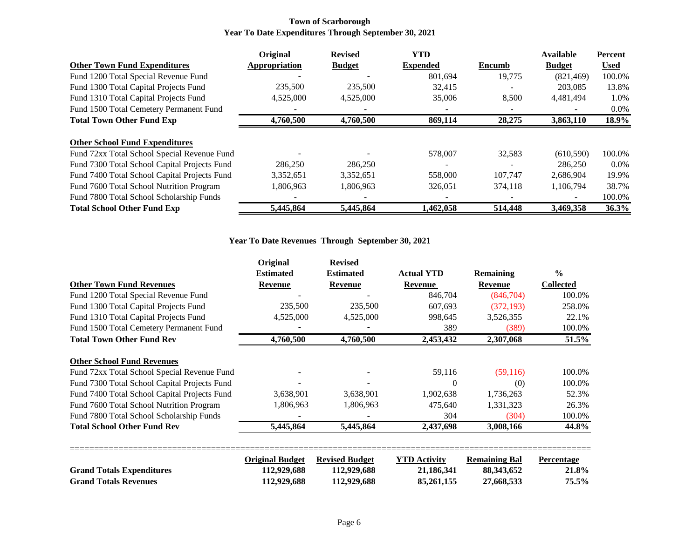#### **Town of Scarborough Year To Date Expenditures Through September 30, 2021**

|                                              | Original      | <b>Revised</b> | <b>YTD</b>               |         | <b>Available</b> | <b>Percent</b> |
|----------------------------------------------|---------------|----------------|--------------------------|---------|------------------|----------------|
| <b>Other Town Fund Expenditures</b>          | Appropriation | <b>Budget</b>  | <b>Expended</b>          | Encumb  | <b>Budget</b>    | <b>Used</b>    |
| Fund 1200 Total Special Revenue Fund         |               |                | 801,694                  | 19,775  | (821, 469)       | 100.0%         |
| Fund 1300 Total Capital Projects Fund        | 235,500       | 235,500        | 32.415                   |         | 203,085          | 13.8%          |
| Fund 1310 Total Capital Projects Fund        | 4,525,000     | 4,525,000      | 35,006                   | 8,500   | 4,481,494        | 1.0%           |
| Fund 1500 Total Cemetery Permanent Fund      |               |                |                          |         |                  | $0.0\%$        |
| <b>Total Town Other Fund Exp</b>             | 4,760,500     | 4,760,500      | 869,114                  | 28,275  | 3,863,110        | 18.9%          |
|                                              |               |                |                          |         |                  |                |
| <b>Other School Fund Expenditures</b>        |               |                |                          |         |                  |                |
| Fund 72xx Total School Special Revenue Fund  |               |                | 578,007                  | 32,583  | (610, 590)       | 100.0%         |
| Fund 7300 Total School Capital Projects Fund | 286,250       | 286,250        | $\overline{\phantom{a}}$ |         | 286,250          | $0.0\%$        |
| Fund 7400 Total School Capital Projects Fund | 3,352,651     | 3,352,651      | 558,000                  | 107.747 | 2,686,904        | 19.9%          |
| Fund 7600 Total School Nutrition Program     | 1,806,963     | 1,806,963      | 326,051                  | 374,118 | 1,106,794        | 38.7%          |
| Fund 7800 Total School Scholarship Funds     |               |                |                          |         |                  | 100.0%         |
| <b>Total School Other Fund Exp</b>           | 5,445,864     | 5,445,864      | 1,462,058                | 514,448 | 3,469,358        | 36.3%          |

#### **Year To Date Revenues Through September 30, 2021**

|                                              | Original               | <b>Revised</b>        |                     |                      |                   |  |
|----------------------------------------------|------------------------|-----------------------|---------------------|----------------------|-------------------|--|
|                                              | <b>Estimated</b>       | <b>Estimated</b>      | <b>Actual YTD</b>   | <b>Remaining</b>     | $\frac{0}{0}$     |  |
| <b>Other Town Fund Revenues</b>              | Revenue                | Revenue               | Revenue             | <b>Revenue</b>       | <b>Collected</b>  |  |
| Fund 1200 Total Special Revenue Fund         |                        |                       | 846,704             | (846,704)            | 100.0%            |  |
| Fund 1300 Total Capital Projects Fund        | 235,500                | 235,500               | 607,693             | (372, 193)           | 258.0%            |  |
| Fund 1310 Total Capital Projects Fund        | 4,525,000              | 4,525,000             | 998,645             | 3,526,355            | 22.1%             |  |
| Fund 1500 Total Cemetery Permanent Fund      |                        |                       | 389                 | (389)                | 100.0%            |  |
| <b>Total Town Other Fund Rev</b>             | 4,760,500              | 4,760,500             | 2,453,432           | 2,307,068            | 51.5%             |  |
| <b>Other School Fund Revenues</b>            |                        |                       |                     |                      |                   |  |
| Fund 72xx Total School Special Revenue Fund  |                        |                       | 59,116              | (59,116)             | 100.0%            |  |
| Fund 7300 Total School Capital Projects Fund |                        |                       | $\Omega$            | (0)                  | 100.0%            |  |
| Fund 7400 Total School Capital Projects Fund | 3,638,901              | 3,638,901             | 1,902,638           | 1,736,263            | 52.3%             |  |
| Fund 7600 Total School Nutrition Program     | 1,806,963              | 1,806,963             | 475,640             | 1,331,323            | 26.3%             |  |
| Fund 7800 Total School Scholarship Funds     |                        |                       | 304                 | (304)                | 100.0%            |  |
| <b>Total School Other Fund Rev</b>           | 5,445,864              | 5,445,864             | 2,437,698           | 3,008,166            | 44.8%             |  |
|                                              | <b>Original Budget</b> | <b>Revised Budget</b> | <b>YTD Activity</b> | <b>Remaining Bal</b> | <b>Percentage</b> |  |
| <b>Grand Totals Expenditures</b>             | 112,929,688            | 112,929,688           | 21,186,341          | 88, 343, 652         | 21.8%             |  |
| <b>Grand Totals Revenues</b>                 | 112,929,688            | 112,929,688           | 85,261,155          | 27,668,533           | 75.5%             |  |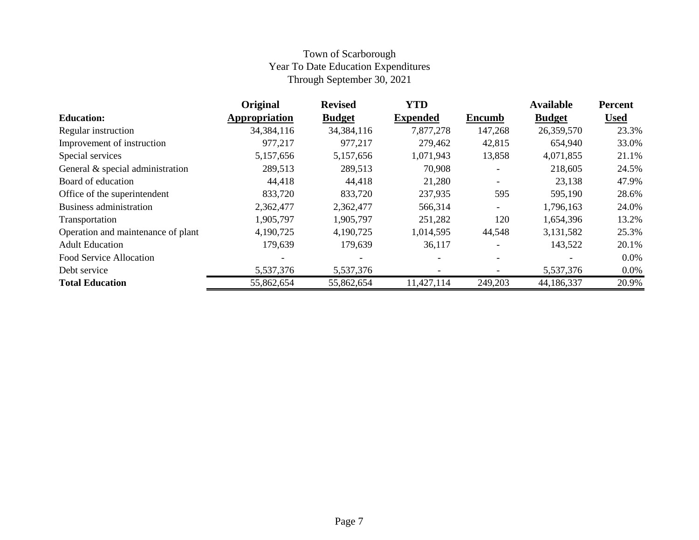# Town of Scarborough Year To Date Education Expenditures Through September 30, 2021

|                                    | Original      | <b>Revised</b> | <b>YTD</b>      |                          | <b>Available</b> | <b>Percent</b> |
|------------------------------------|---------------|----------------|-----------------|--------------------------|------------------|----------------|
| <b>Education:</b>                  | Appropriation | <b>Budget</b>  | <b>Expended</b> | <b>Encumb</b>            | <b>Budget</b>    | <b>Used</b>    |
| Regular instruction                | 34,384,116    | 34,384,116     | 7,877,278       | 147,268                  | 26,359,570       | 23.3%          |
| Improvement of instruction         | 977,217       | 977,217        | 279,462         | 42,815                   | 654,940          | 33.0%          |
| Special services                   | 5,157,656     | 5,157,656      | 1,071,943       | 13,858                   | 4,071,855        | 21.1%          |
| General & special administration   | 289,513       | 289,513        | 70,908          |                          | 218,605          | 24.5%          |
| Board of education                 | 44,418        | 44,418         | 21,280          |                          | 23,138           | 47.9%          |
| Office of the superintendent       | 833,720       | 833,720        | 237,935         | 595                      | 595,190          | 28.6%          |
| <b>Business administration</b>     | 2,362,477     | 2,362,477      | 566,314         | $\overline{\phantom{a}}$ | 1,796,163        | 24.0%          |
| Transportation                     | 1,905,797     | 1,905,797      | 251,282         | 120                      | 1,654,396        | 13.2%          |
| Operation and maintenance of plant | 4,190,725     | 4,190,725      | 1,014,595       | 44,548                   | 3,131,582        | 25.3%          |
| <b>Adult Education</b>             | 179,639       | 179,639        | 36,117          |                          | 143,522          | 20.1%          |
| Food Service Allocation            |               |                |                 |                          |                  | $0.0\%$        |
| Debt service                       | 5,537,376     | 5,537,376      |                 |                          | 5,537,376        | $0.0\%$        |
| <b>Total Education</b>             | 55,862,654    | 55,862,654     | 11,427,114      | 249,203                  | 44,186,337       | 20.9%          |